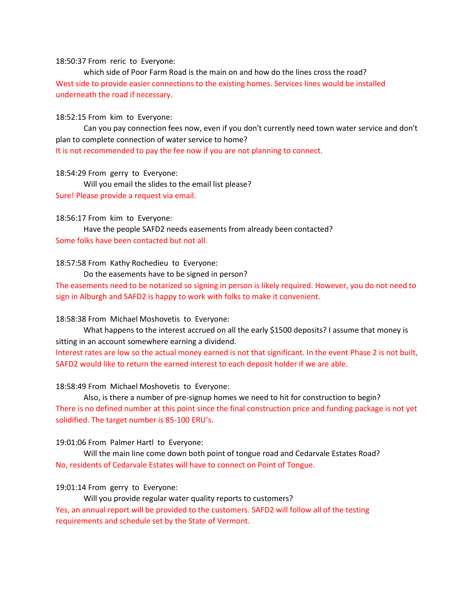#### 18:50:37 From reric to Everyone:

which side of Poor Farm Road is the main on and how do the lines cross the road? West side to provide easier connections to the existing homes. Services lines would be installed underneath the road if necessary.

#### 18:52:15 From kim to Everyone:

Can you pay connection fees now, even if you don't currently need town water service and don't plan to complete connection of water service to home?

It is not recommended to pay the fee now if you are not planning to connect.

#### 18:54:29 From gerry to Everyone:

Will you email the slides to the email list please?

Sure! Please provide a request via email.

#### 18:56:17 From kim to Everyone:

Have the people SAFD2 needs easements from already been contacted? Some folks have been contacted but not all.

## 18:57:58 From Kathy Rochedieu to Everyone:

Do the easements have to be signed in person?

The easements need to be notarized so signing in person is likely required. However, you do not need to sign in Alburgh and SAFD2 is happy to work with folks to make it convenient.

## 18:58:38 From Michael Moshovetis to Everyone:

What happens to the interest accrued on all the early \$1500 deposits? I assume that money is sitting in an account somewhere earning a dividend.

Interest rates are low so the actual money earned is not that significant. In the event Phase 2 is not built, SAFD2 would like to return the earned interest to each deposit holder if we are able.

#### 18:58:49 From Michael Moshovetis to Everyone:

Also, is there a number of pre-signup homes we need to hit for construction to begin? There is no defined number at this point since the final construction price and funding package is not yet solidified. The target number is 85-100 ERU's.

## 19:01:06 From Palmer Hartl to Everyone:

Will the main line come down both point of tongue road and Cedarvale Estates Road? No, residents of Cedarvale Estates will have to connect on Point of Tongue.

## 19:01:14 From gerry to Everyone:

Will you provide regular water quality reports to customers? Yes, an annual report will be provided to the customers. SAFD2 will follow all of the testing requirements and schedule set by the State of Vermont.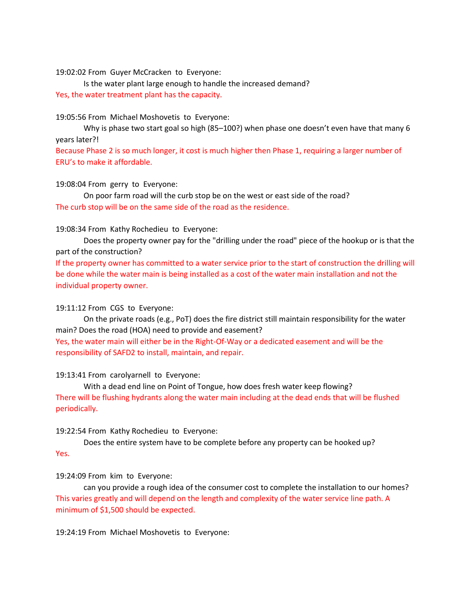## 19:02:02 From Guyer McCracken to Everyone:

Is the water plant large enough to handle the increased demand? Yes, the water treatment plant has the capacity.

## 19:05:56 From Michael Moshovetis to Everyone:

Why is phase two start goal so high (85–100?) when phase one doesn't even have that many 6 years later?!

Because Phase 2 is so much longer, it cost is much higher then Phase 1, requiring a larger number of ERU's to make it affordable.

## 19:08:04 From gerry to Everyone:

On poor farm road will the curb stop be on the west or east side of the road? The curb stop will be on the same side of the road as the residence.

## 19:08:34 From Kathy Rochedieu to Everyone:

Does the property owner pay for the "drilling under the road" piece of the hookup or is that the part of the construction?

If the property owner has committed to a water service prior to the start of construction the drilling will be done while the water main is being installed as a cost of the water main installation and not the individual property owner.

## 19:11:12 From CGS to Everyone:

On the private roads (e.g., PoT) does the fire district still maintain responsibility for the water main? Does the road (HOA) need to provide and easement? Yes, the water main will either be in the Right-Of-Way or a dedicated easement and will be the responsibility of SAFD2 to install, maintain, and repair.

# 19:13:41 From carolyarnell to Everyone:

With a dead end line on Point of Tongue, how does fresh water keep flowing? There will be flushing hydrants along the water main including at the dead ends that will be flushed periodically.

## 19:22:54 From Kathy Rochedieu to Everyone:

Does the entire system have to be complete before any property can be hooked up? Yes.

# 19:24:09 From kim to Everyone:

can you provide a rough idea of the consumer cost to complete the installation to our homes? This varies greatly and will depend on the length and complexity of the water service line path. A minimum of \$1,500 should be expected.

19:24:19 From Michael Moshovetis to Everyone: